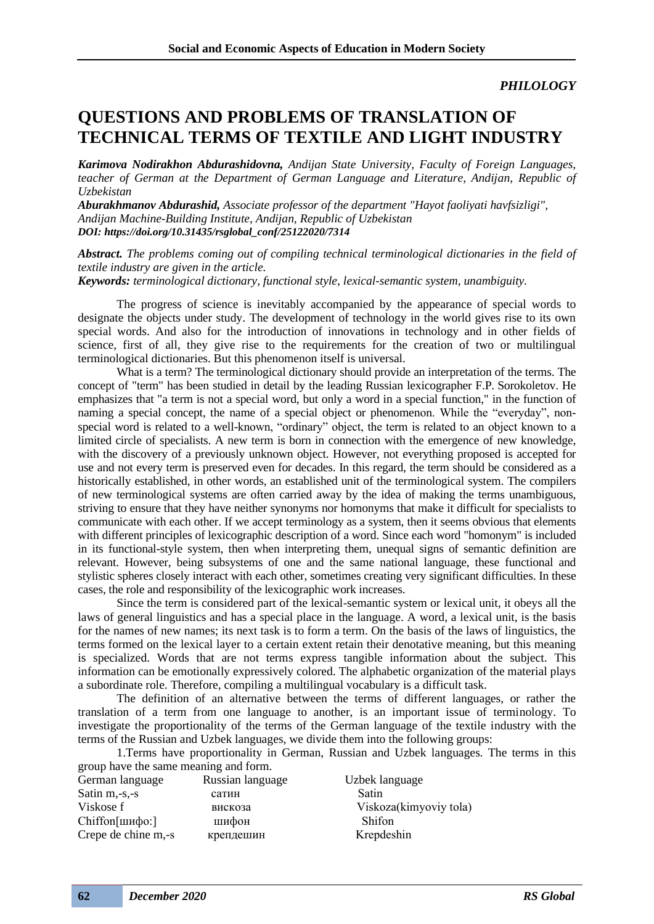*PHILOLOGY*

## **QUESTIONS AND PROBLEMS OF TRANSLATION OF TECHNICAL TERMS OF TEXTILE AND LIGHT INDUSTRY**

*Karimova Nodirakhon Abdurashidovna, Andijan State University, Faculty of Foreign Languages, teacher of German at the Department of German Language and Literature, Andijan, Republic of Uzbekistan*

*Aburakhmanov Abdurashid, Associate professor of the department "Hayot faoliyati havfsizligi", Andijan Machine-Building Institute, Andijan, Republic of Uzbekistan DOI: https://doi.org/10.31435/rsglobal\_conf/25122020/7314*

*Abstract. The problems coming out of compiling technical terminological dictionaries in the field of textile industry are given in the article.*

*Keywords: terminological dictionary, functional style, lexical-semantic system, unambiguity.*

The progress of science is inevitably accompanied by the appearance of special words to designate the objects under study. The development of technology in the world gives rise to its own special words. And also for the introduction of innovations in technology and in other fields of science, first of all, they give rise to the requirements for the creation of two or multilingual terminological dictionaries. But this phenomenon itself is universal.

What is a term? The terminological dictionary should provide an interpretation of the terms. The concept of "term" has been studied in detail by the leading Russian lexicographer F.P. Sorokoletov. He emphasizes that "a term is not a special word, but only a word in a special function," in the function of naming a special concept, the name of a special object or phenomenon. While the "everyday", nonspecial word is related to a well-known, "ordinary" object, the term is related to an object known to a limited circle of specialists. A new term is born in connection with the emergence of new knowledge, with the discovery of a previously unknown object. However, not everything proposed is accepted for use and not every term is preserved even for decades. In this regard, the term should be considered as a historically established, in other words, an established unit of the terminological system. The compilers of new terminological systems are often carried away by the idea of making the terms unambiguous, striving to ensure that they have neither synonyms nor homonyms that make it difficult for specialists to communicate with each other. If we accept terminology as a system, then it seems obvious that elements with different principles of lexicographic description of a word. Since each word "homonym" is included in its functional-style system, then when interpreting them, unequal signs of semantic definition are relevant. However, being subsystems of one and the same national language, these functional and stylistic spheres closely interact with each other, sometimes creating very significant difficulties. In these cases, the role and responsibility of the lexicographic work increases.

Since the term is considered part of the lexical-semantic system or lexical unit, it obeys all the laws of general linguistics and has a special place in the language. A word, a lexical unit, is the basis for the names of new names; its next task is to form a term. On the basis of the laws of linguistics, the terms formed on the lexical layer to a certain extent retain their denotative meaning, but this meaning is specialized. Words that are not terms express tangible information about the subject. This information can be emotionally expressively colored. The alphabetic organization of the material plays a subordinate role. Therefore, compiling a multilingual vocabulary is a difficult task.

The definition of an alternative between the terms of different languages, or rather the translation of a term from one language to another, is an important issue of terminology. To investigate the proportionality of the terms of the German language of the textile industry with the terms of the Russian and Uzbek languages, we divide them into the following groups:

1.Terms have proportionality in German, Russian and Uzbek languages. The terms in this group have the same meaning and form.

| Russian language<br>Uzbek language |
|------------------------------------|
| Satin                              |
| Viskoza(kimyoviy tola)             |
| Shifon                             |
| Krepdeshin                         |
|                                    |